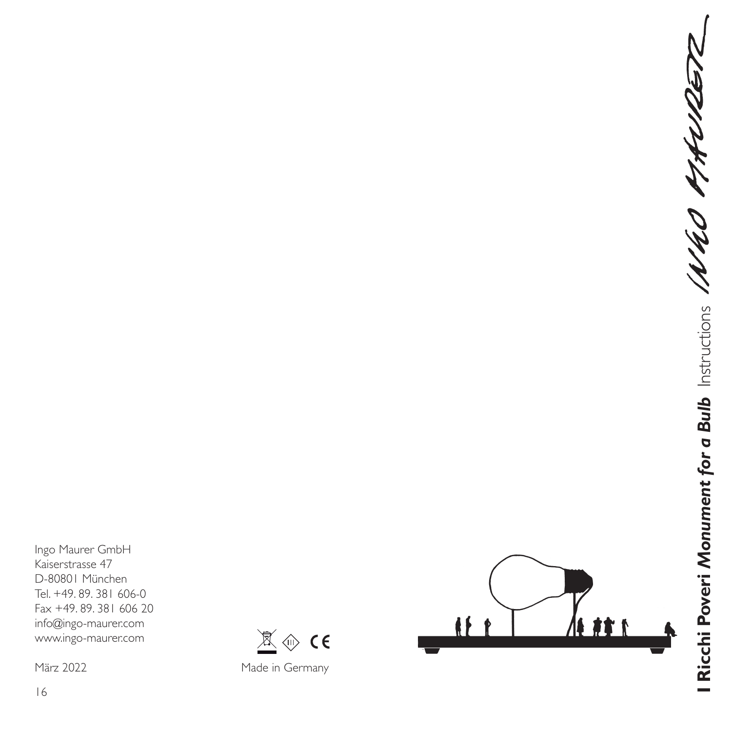Ingo Maurer GmbH Kaiserstrasse 47 D-80801 München Tel. +49. 89. 381 606-0 Fax +49. 89. 381 606 20 info@ingo-maurer.com www.ingo-maurer.com

März 2022

16



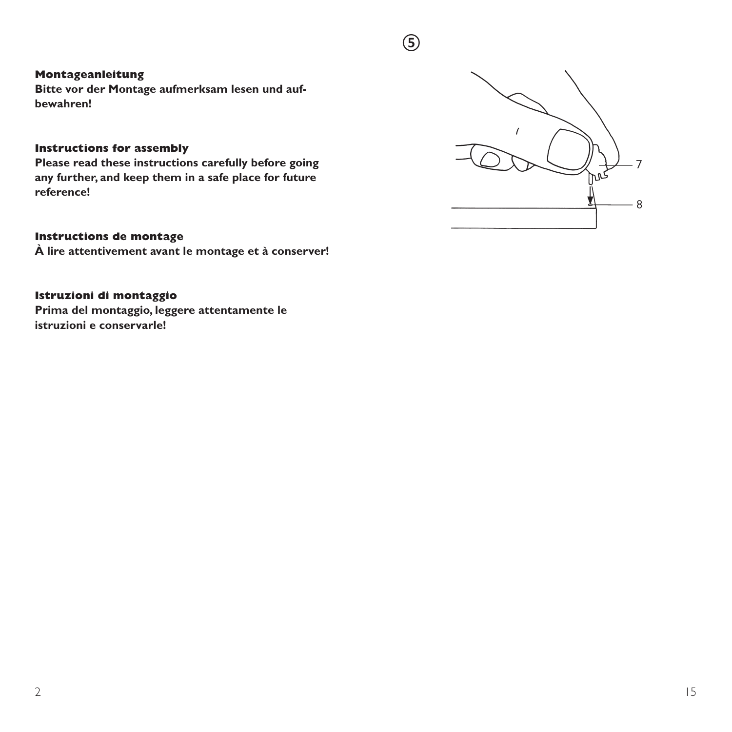#### **Montageanleitung**

**Bitte vor der Montage aufmerksam lesen und aufbewahren!**

#### **Instructions for assembly**

**Please read these instructions carefully before going any further, and keep them in a safe place for future reference!**

#### **Instructions de montage**

**À lire attentivement avant le montage et à conserver!**

# **Istruzioni di montaggio**

**Prima del montaggio, leggere attentamente le istruzioni e conservarle!**



**⑤**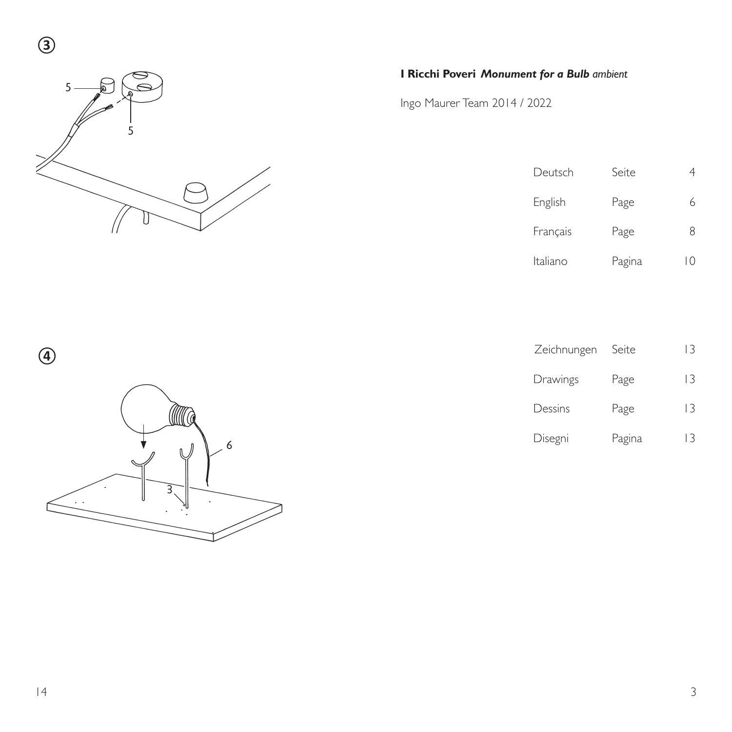

# **I Ricchi Poveri** *Monument for a Bulb ambient*

Ingo Maurer Team 2014 / 2022

| Deutsch  | Seite  |    |
|----------|--------|----|
| English  | Page   | 6  |
| Français | Page   | 8  |
| Italiano | Pagina | 10 |

| $\bigcirc$ |        |
|------------|--------|
|            | Q<br>6 |
|            | ⊀      |

| Zeichnungen Seite |        | 3  |
|-------------------|--------|----|
| Drawings          | Page   | 13 |
| Dessins           | Page   | 13 |
| Disegni           | Pagina | 13 |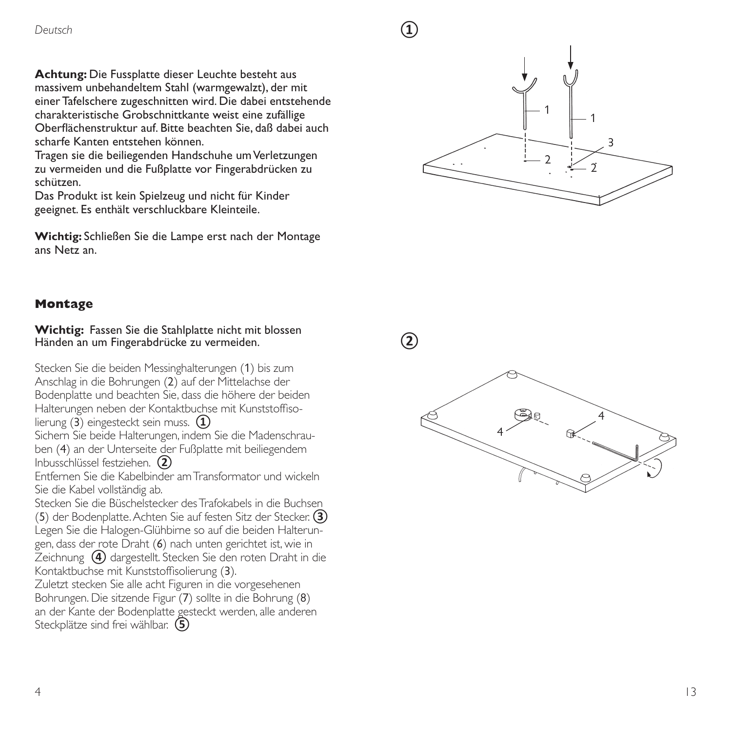**Achtung:** Die Fussplatte dieser Leuchte besteht aus massivem unbehandeltem Stahl (warmgewalzt), der mit einer Tafelschere zugeschnitten wird. Die dabei entstehende charakteristische Grobschnittkante weist eine zufällige Oberflächenstruktur auf. Bitte beachten Sie, daß dabei auch scharfe Kanten entstehen können.

Tragen sie die beiliegenden Handschuhe um Verletzungen zu vermeiden und die Fußplatte vor Fingerabdrücken zu schützen.

Das Produkt ist kein Spielzeug und nicht für Kinder geeignet. Es enthält verschluckbare Kleinteile.

**Wichtig:** Schließen Sie die Lampe erst nach der Montage ans Netz an.



**Montage** 

**Wichtig:** Fassen Sie die Stahlplatte nicht mit blossen Händen an um Fingerabdrücke zu vermeiden.

Stecken Sie die beiden Messinghalterungen ( 1) bis zum Anschlag in die Bohrungen ( 2) auf der Mittelachse der Bodenplatte und beachten Sie, dass die höhere der beiden Halterungen neben der Kontaktbuchse mit Kunststoffisolierung (3) eingesteckt sein muss. **①**

Sichern Sie beide Halterungen, indem Sie die Madenschrauben (4) an der Unterseite der Fußplatte mit beiliegendem Inbusschlüssel festziehen. **②**

Entfernen Sie die Kabelbinder am Transformator und wickeln Sie die Kabel vollständig ab.<br>Stecken Sie die Büschelstecker des Trafokabels in die Buchsen

(5) der Bodenplatte. Achten Sie auf festen Sitz der Stecker. **3)** Legen Sie die Halogen-Glühbirne so auf die beiden Halterungen, dass der rote Draht (6) nach unten gerichtet ist, wie in Zeichnung **④** dargestellt. Stecken Sie den roten Draht in die Kontaktbuchse mit Kunststoffisolierung (3).

Zuletzt stecken Sie alle acht Figuren in die vorgesehenen Bohrungen. Die sitzende Figur ( 7) sollte in die Bohrung ( 8) an der Kante der Bodenplatte gesteckt werden, alle anderen Steckplätze sind frei wählbar. **⑤**

 $(2)$ 

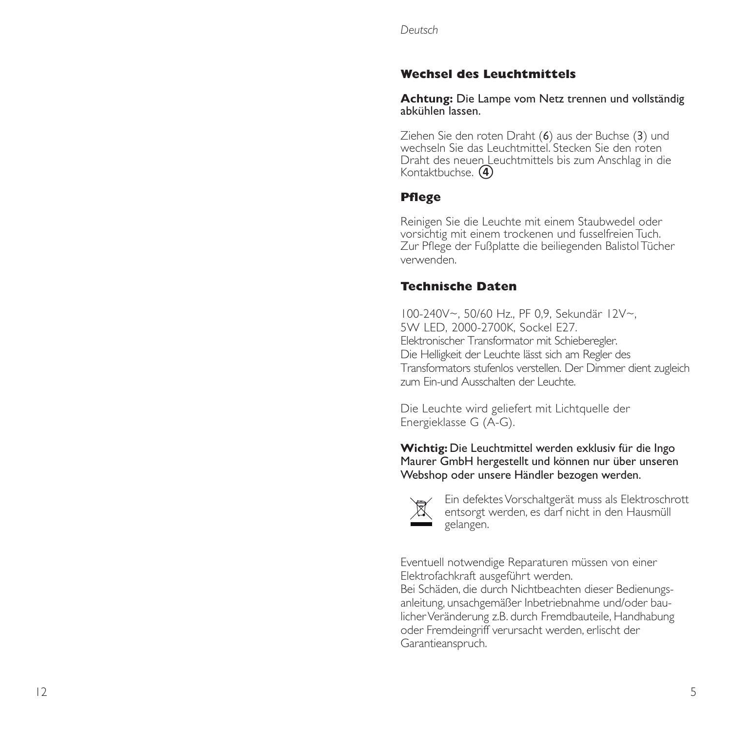#### **Wechsel des Leuchtmittels**

**Achtung:** Die Lampe vom Netz trennen und vollständig abkühlen lassen.

Ziehen Sie den roten Draht ( 6) aus der Buchse ( 3) und wechseln Sie das Leuchtmittel. Stecken Sie den roten Draht des neuen Leuchtmittels bis zum Anschlag in die Kontaktbuchse. **④**

#### **Pfl ege**

Reinigen Sie die Leuchte mit einem Staubwedel oder vorsichtig mit einem trockenen und fusselfreien Tuch. Zur Pflege der Fußplatte die beiliegenden Balistol Tücher verwenden.

### **Technische Daten**

100-240V~, 50/60 Hz., PF 0,9, Sekundär 12V~, 5W LED, 2000-2700K, Sockel E27. Elektronischer Transformator mit Schieberegler. Die Helligkeit der Leuchte lässt sich am Regler des Transformators stufenlos verstellen. Der Dimmer dient zugleich zum Ein-und Ausschalten der Leuchte.

Die Leuchte wird geliefert mit Lichtquelle der Energieklasse G (A-G).

**Wichtig:** Die Leuchtmittel werden exklusiv für die Ingo Maurer GmbH hergestellt und können nur über unseren Webshop oder unsere Händler bezogen werden.



 Ein defektes Vorschaltgerät muss als Elektroschrott entsorgt werden, es darf nicht in den Hausmüll gelangen.

Eventuell notwendige Reparaturen müssen von einer Elektrofachkraft ausgeführt werden.

Bei Schäden, die durch Nichtbeachten dieser Bedienungsanleitung, unsachgemäßer Inbetriebnahme und/oder baulicher Veränderung z.B. durch Fremdbauteile, Handhabung oder Fremdeingriff verursacht werden, erlischt der Garantieanspruch.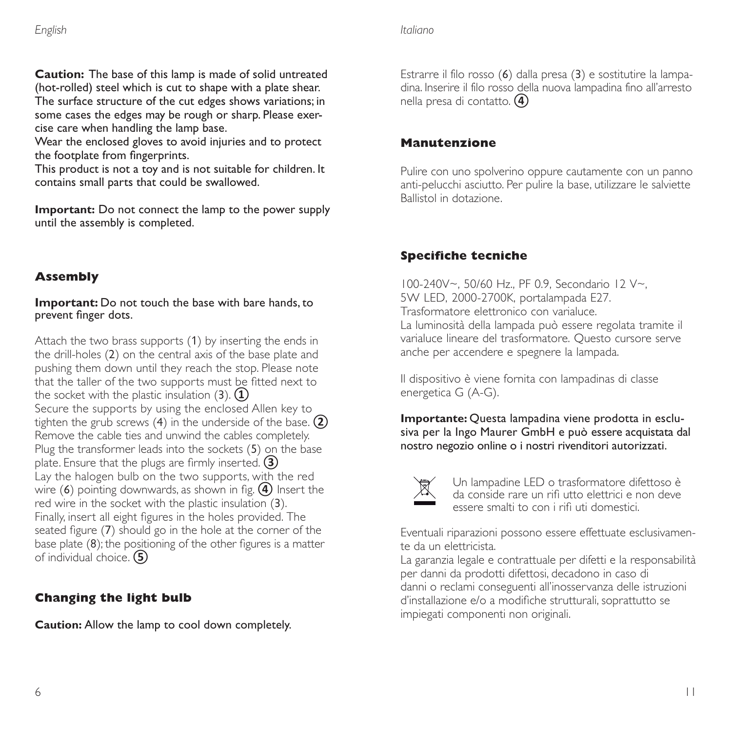**Caution:** The base of this lamp is made of solid untreated (hot-rolled) steel which is cut to shape with a plate shear. The surface structure of the cut edges shows variations; in some cases the edges may be rough or sharp. Please exercise care when handling the lamp base.

Wear the enclosed gloves to avoid injuries and to protect the footplate from fingerprints.

This product is not a toy and is not suitable for children. It contains small parts that could be swallowed.

**Important:** Do not connect the lamp to the power supply until the assembly is completed.

# **Assembly**

#### **Important:** Do not touch the base with bare hands, to prevent finger dots.

Attach the two brass supports (1) by inserting the ends in the drill-holes (2) on the central axis of the base plate and pushing them down until they reach the stop. Please note that the taller of the two supports must be fitted next to the socket with the plastic insulation (3). **①** Secure the supports by using the enclosed Allen key to tighten the grub screws (4) in the underside of the base. **②** Remove the cable ties and unwind the cables completely. Plug the transformer leads into the sockets (5) on the base plate. Ensure that the plugs are firmly inserted. **3** Lay the halogen bulb on the two supports, with the red wire (6) pointing downwards, as shown in fig. (4) Insert the red wire in the socket with the plastic insulation (3). Finally, insert all eight figures in the holes provided. The seated figure  $(7)$  should go in the hole at the corner of the base plate  $(8)$ ; the positioning of the other figures is a matter of individual choice. **⑤**

# **Changing the light bulb**

**Caution:** Allow the lamp to cool down completely.

Estrarre il filo rosso (6) dalla presa (3) e sostitutire la lampadina. Inserire il filo rosso della nuova lampadina fino all'arresto nella presa di contatto. **④**

#### **Manutenzione**

Pulire con uno spolverino oppure cautamente con un panno anti-pelucchi asciutto. Per pulire la base, utilizzare le salviette Ballistol in dotazione.

# **Specifiche tecniche**

100-240V~, 50/60 Hz., PF 0.9, Secondario 12 V~, 5W LED, 2000-2700K, portalampada E27. Trasformatore elettronico con varialuce. La luminosità della lampada può essere regolata tramite il varialuce lineare del trasformatore. Questo cursore serve anche per accendere e spegnere la lampada.

Il dispositivo è viene fornita con lampadinas di classe energetica G (A-G).

**Importante:** Questa lampadina viene prodotta in esclusiva per la Ingo Maurer GmbH e può essere acquistata dal nostro negozio online o i nostri rivenditori autorizzati.



Un lampadine LED o trasformatore difettoso è da conside rare un rifi utto elettrici e non deve essere smalti to con i rifi uti domestici.

Eventuali riparazioni possono essere effettuate esclusivamente da un elettricista.

La garanzia legale e contrattuale per difetti e la responsabilità per danni da prodotti difettosi, decadono in caso di danni o reclami conseguenti all'inosservanza delle istruzioni d'installazione e/o a modifiche strutturali, soprattutto se impiegati componenti non originali.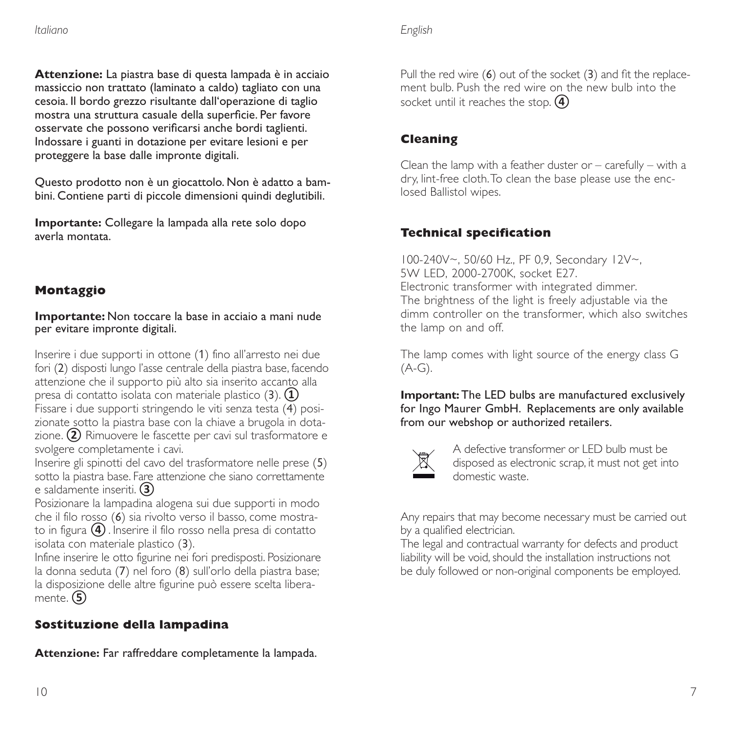**Attenzione:** La piastra base di questa lampada è in acciaio massiccio non trattato (laminato a caldo) tagliato con una cesoia. Il bordo grezzo risultante dall'operazione di taglio mostra una struttura casuale della superficie. Per favore osservate che possono verificarsi anche bordi taglienti. Indossare i guanti in dotazione per evitare lesioni e per proteggere la base dalle impronte digitali.

Questo prodotto non è un giocattolo. Non è adatto a bambini. Contiene parti di piccole dimensioni quindi deglutibili.

**Importante:** Collegare la lampada alla rete solo dopo averla montata.

# **Montaggio**

**Importante:** Non toccare la base in acciaio a mani nude per evitare impronte digitali.

Inserire i due supporti in ottone (1) fino all'arresto nei due fori (2) disposti lungo l'asse centrale della piastra base, facendo attenzione che il supporto più alto sia inserito accanto alla presa di contatto isolata con materiale plastico (3). **①**

Fissare i due supporti stringendo le viti senza testa (4) posizionate sotto la piastra base con la chiave a brugola in dotazione. **②** Rimuovere le fascette per cavi sul trasformatore e svolgere completamente i cavi.

Inserire gli spinotti del cavo del trasformatore nelle prese (5) sotto la piastra base. Fare attenzione che siano correttamente e saldamente inseriti. **③**

Posizionare la lampadina alogena sui due supporti in modo che il filo rosso (6) sia rivolto verso il basso, come mostrato in figura **④**. Inserire il filo rosso nella presa di contatto isolata con materiale plastico (3).

Infine inserire le otto figurine nei fori predisposti. Posizionare la donna seduta (7) nel foro (8) sull'orlo della piastra base; la disposizione delle altre figurine può essere scelta liberamente. **⑤**

# **Sostituzione della lampadina**

**Attenzione:** Far raffreddare completamente la lampada.

*English*

Pull the red wire  $(6)$  out of the socket  $(3)$  and fit the replacement bulb. Push the red wire on the new bulb into the socket until it reaches the stop. **④**

## **Cleaning**

Clean the lamp with a feather duster or  $-$  carefully  $-$  with a dry, lint-free cloth. To clean the base please use the enclosed Ballistol wipes.

### **Technical specifi cation**

100-240V~, 50/60 Hz., PF 0,9, Secondary 12V~, 5W LED, 2000-2700K, socket E27. Electronic transformer with integrated dimmer. The brightness of the light is freely adjustable via the dimm controller on the transformer, which also switches the lamp on and off.

The lamp comes with light source of the energy class G  $(A-G).$ 

**Important:** The LED bulbs are manufactured exclusively for Ingo Maurer GmbH. Replacements are only available from our webshop or authorized retailers.



A defective transformer or LED bulb must be disposed as electronic scrap, it must not get into domestic waste.

Any repairs that may become necessary must be carried out by a qualified electrician.

The legal and contractual warranty for defects and product liability will be void, should the installation instructions not be duly followed or non-original components be employed.